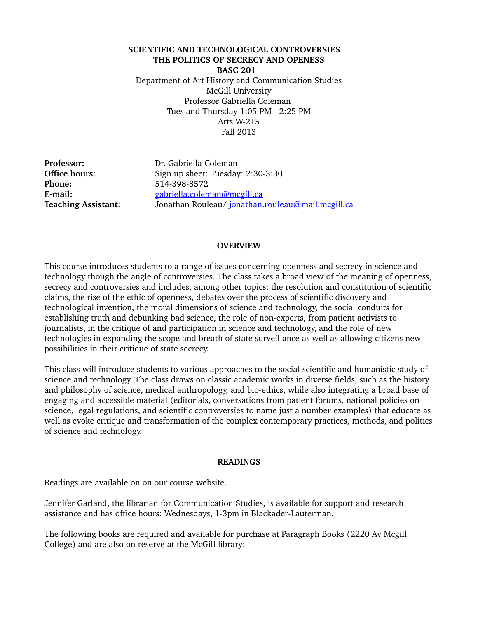**SCIENTIFIC AND TECHNOLOGICAL CONTROVERSIES THE POLITICS OF SECRECY AND OPENESS BASC 201**  Department of Art History and Communication Studies McGill University Professor Gabriella Coleman Tues and Thursday 1:05 PM - 2:25 PM Arts W-215 Fall 2013

**Phone:** 514-398-8572

**Professor:** Dr. Gabriella Coleman **Office hours:** Sign up sheet: Tuesday: 2:30-3:30 **E-mail:** [gabriella.coleman@mcgill.ca](mailto:gabriella.coleman@mcgill.ca) **Teaching Assistant:**  Jonathan Rouleau/ [jonathan.rouleau@mail.mcgill.ca](mailto:jonathan.rouleau@mail.mcgill.ca)

#### **OVERVIEW**

This course introduces students to a range of issues concerning openness and secrecy in science and technology though the angle of controversies. The class takes a broad view of the meaning of openness, secrecy and controversies and includes, among other topics: the resolution and constitution of scientific claims, the rise of the ethic of openness, debates over the process of scientific discovery and technological invention, the moral dimensions of science and technology, the social conduits for establishing truth and debunking bad science, the role of nonexperts, from patient activists to journalists, in the critique of and participation in science and technology, and the role of new technologies in expanding the scope and breath of state surveillance as well as allowing citizens new possibilities in their critique of state secrecy.

This class will introduce students to various approaches to the social scientific and humanistic study of science and technology. The class draws on classic academic works in diverse fields, such as the history and philosophy of science, medical anthropology, and bio-ethics, while also integrating a broad base of engaging and accessible material (editorials, conversations from patient forums, national policies on science, legal regulations, and scientific controversies to name just a number examples) that educate as well as evoke critique and transformation of the complex contemporary practices, methods, and politics of science and technology.

#### **READINGS**

Readings are available on on our course website.

Jennifer Garland, the librarian for Communication Studies, is available for support and research assistance and has office hours: Wednesdays, 1-3pm in Blackader-Lauterman.

The following books are required and available for purchase at Paragraph Books (2220 Av Mcgill College) and are also on reserve at the McGill library: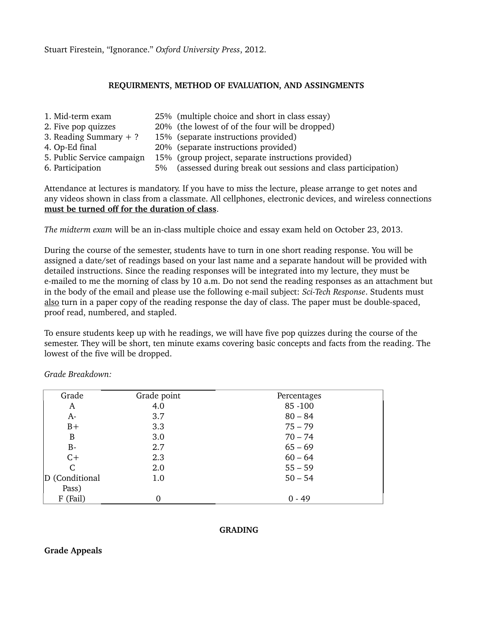Stuart Firestein, "Ignorance." *Oxford University Press*, 2012.

#### **REQUIRMENTS, METHOD OF EVALUATION, AND ASSINGMENTS**

1. Mid-term exam 25% (multiple choice and short in class essay) 2. Five pop quizzes 20% (the lowest of of the four will be dropped) 3. Reading Summary + ? 15% (separate instructions provided) 4. Op-Ed final 20% (separate instructions provided) 5. Public Service campaign 15% (group project, separate instructions provided) 6. Participation 5% (assessed during break out sessions and class participation)

Attendance at lectures is mandatory. If you have to miss the lecture, please arrange to get notes and any videos shown in class from a classmate. All cellphones, electronic devices, and wireless connections **must be turned off for the duration of class**.

*The midterm exam will be an in-class multiple choice and essay exam held on October 23, 2013.* 

During the course of the semester, students have to turn in one short reading response. You will be assigned a date/set of readings based on your last name and a separate handout will be provided with detailed instructions. Since the reading responses will be integrated into my lecture, they must be e-mailed to me the morning of class by 10 a.m. Do not send the reading responses as an attachment but in the body of the email and please use the following e-mail subject: *Sci-Tech Response*. Students must also turn in a paper copy of the reading response the day of class. The paper must be double-spaced, proof read, numbered, and stapled.

To ensure students keep up with he readings, we will have five pop quizzes during the course of the semester. They will be short, ten minute exams covering basic concepts and facts from the reading. The lowest of the five will be dropped.

*Grade Breakdown:*

| Grade          | Grade point | Percentages |
|----------------|-------------|-------------|
| A              | 4.0         | 85 - 100    |
| $A-$           | 3.7         | $80 - 84$   |
| $B+$           | 3.3         | $75 - 79$   |
| B              | 3.0         | $70 - 74$   |
| $B -$          | 2.7         | $65 - 69$   |
| $C+$           | 2.3         | $60 - 64$   |
| C              | 2.0         | $55 - 59$   |
| D (Conditional | 1.0         | $50 - 54$   |
| Pass)          |             |             |
| F (Fail)       | 0           | $0 - 49$    |

#### **GRADING**

#### **Grade Appeals**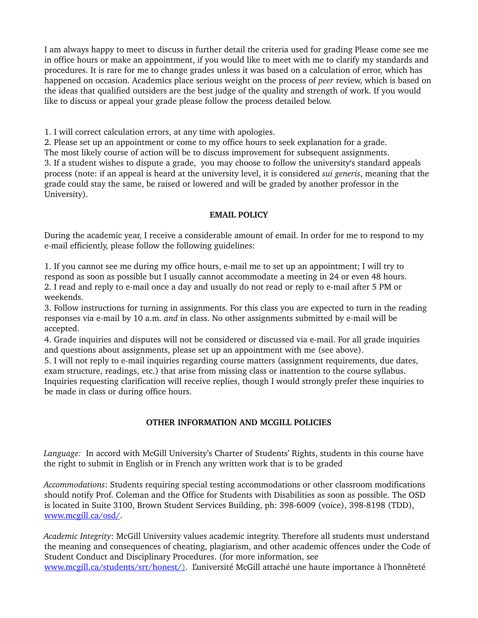I am always happy to meet to discuss in further detail the criteria used for grading Please come see me in office hours or make an appointment, if you would like to meet with me to clarify my standards and procedures. It is rare for me to change grades unless it was based on a calculation of error, which has happened on occasion. Academics place serious weight on the process of *peer* review, which is based on the ideas that qualified outsiders are the best judge of the quality and strength of work. If you would like to discuss or appeal your grade please follow the process detailed below.

1. I will correct calculation errors, at any time with apologies.

2. Please set up an appointment or come to my office hours to seek explanation for a grade. The most likely course of action will be to discuss improvement for subsequent assignments. 3. If a student wishes to dispute a grade, you may choose to follow the university's standard appeals process (note: if an appeal is heard at the university level, it is considered *sui generis*, meaning that the grade could stay the same, be raised or lowered and will be graded by another professor in the University).

# **EMAIL POLICY**

During the academic year, I receive a considerable amount of email. In order for me to respond to my e-mail efficiently, please follow the following guidelines:

1. If you cannot see me during my office hours, email me to set up an appointment; I will try to respond as soon as possible but I usually cannot accommodate a meeting in 24 or even 48 hours. 2. I read and reply to e-mail once a day and usually do not read or reply to e-mail after 5 PM or weekends.

3. Follow instructions for turning in assignments. For this class you are expected to turn in the reading responses via e-mail by 10 a.m. *and* in class. No other assignments submitted by e-mail will be accepted.

4. Grade inquiries and disputes will not be considered or discussed via e-mail. For all grade inquiries and questions about assignments, please set up an appointment with me (see above).

5. I will not reply to e-mail inquiries regarding course matters (assignment requirements, due dates, exam structure, readings, etc.) that arise from missing class or inattention to the course syllabus. Inquiries requesting clarification will receive replies, though I would strongly prefer these inquiries to be made in class or during office hours.

# **OTHER INFORMATION AND MCGILL POLICIES**

Language: In accord with McGill University's Charter of Students' Rights, students in this course have the right to submit in English or in French any written work that is to be graded

*Accommodations*: Students requiring special testing accommodations or other classroom modifications should notify Prof. Coleman and the Office for Students with Disabilities as soon as possible. The OSD is located in Suite 3100, Brown Student Services Building, ph: 398-6009 (voice), 398-8198 (TDD), [www.mcgill.ca/osd/.](http://www.mcgill.ca/osd/)

*Academic Integrity*: McGill University values academic integrity. Therefore all students must understand the meaning and consequences of cheating, plagiarism, and other academic offences under the Code of Student Conduct and Disciplinary Procedures. (for more information, see www.mcgill.ca/students/srr/honest/[\)](http://www.mcgill.ca/students/srr/honest/). L'université McGill attaché une haute importance à l'honnêteté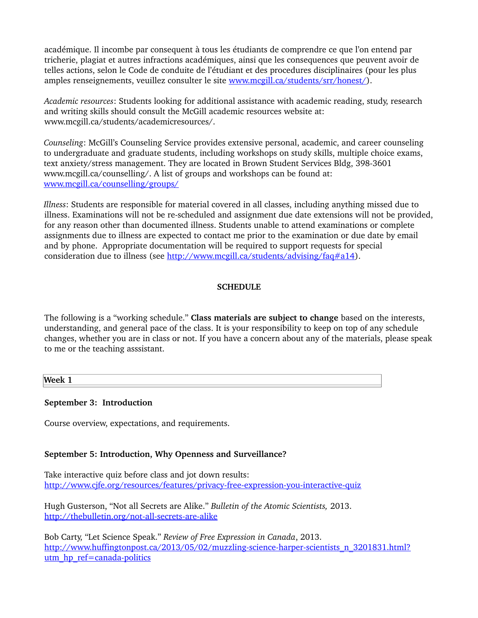académique. Il incombe par consequent à tous les étudiants de comprendre ce que l'on entend par tricherie, plagiat et autres infractions académiques, ainsi que les consequences que peuvent avoir de telles actions, selon le Code de conduite de l'étudiant et des procedures disciplinaires (pour les plus amples renseignements, veuillez consulter le site [www.mcgill.ca/students/srr/honest/\)](http://www.mcgill.ca/students/srr/honest/).

*Academic resources*: Students looking for additional assistance with academic reading, study, research and writing skills should consult the McGill academic resources website at: www.mcgill.ca/students/academicresources/.

*Counseling*: McGill's Counseling Service provides extensive personal, academic, and career counseling to undergraduate and graduate students, including workshops on study skills, multiple choice exams, text anxiety/stress management. They are located in Brown Student Services Bldg, 398-3601 www.mcgill.ca/counselling/. A list of groups and workshops can be found at: [www.mcgill.ca/counselling/groups/](http://www.mcgill.ca/counselling/groups/)

*Illness*: Students are responsible for material covered in all classes, including anything missed due to illness. Examinations will not be re-scheduled and assignment due date extensions will not be provided, for any reason other than documented illness. Students unable to attend examinations or complete assignments due to illness are expected to contact me prior to the examination or due date by email and by phone. Appropriate documentation will be required to support requests for special consideration due to illness (see [http://www.mcgill.ca/students/advising/faq#a14\)](http://www.mcgill.ca/students/advising/faq#a14).

#### **SCHEDULE**

The following is a "working schedule." **Class materials are subject to change** based on the interests, understanding, and general pace of the class. It is your responsibility to keep on top of any schedule changes, whether you are in class or not. If you have a concern about any of the materials, please speak to me or the teaching asssistant.

**Week 1**

#### **September 3: Introduction**

Course overview, expectations, and requirements.

#### **September 5: Introduction, Why Openness and Surveillance?**

Take interactive quiz before class and jot down results: http://www.cjfe.org/resources/features/privacy-free-expression-you-interactive-quiz

Hugh Gusterson, "Not all Secrets are Alike." *Bulletin of the Atomic Scientists,* 2013. http://thebulletin.org/not-all-secrets-are-alike

Bob Carty, "Let Science Speak." *Review of Free Expression in Canada*, 2013. http://www.huffingtonpost.ca/2013/05/02/muzzling-science-harper-scientists\_n\_3201831.html? utm\_hp\_ref=canada-politics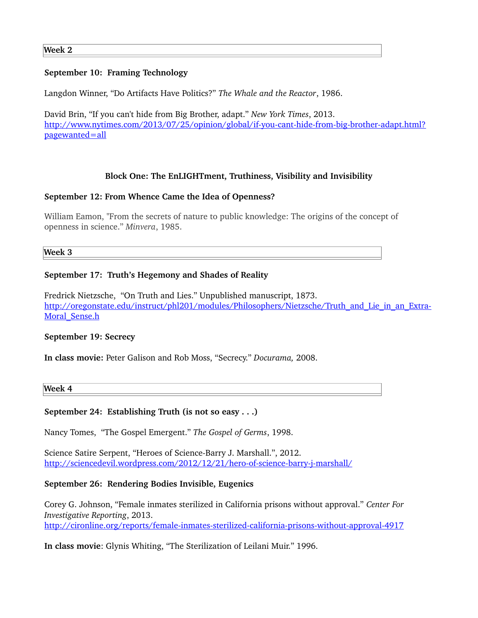## **September 10: Framing Technology**

Langdon Winner, "Do Artifacts Have Politics?" *The Whale and the Reactor*, 1986.

David Brin, "If you can't hide from Big Brother, adapt." *New York Times*, 2013. http://www.nytimes.com/2013/07/25/opinion/global/if-you-cant-hide-from-big-brother-adapt.html? [pagewanted=all](http://www.nytimes.com/2013/07/25/opinion/global/if-you-cant-hide-from-big-brother-adapt.html?pagewanted=all)

## **Block One: The EnLIGHTment, Truthiness, Visibility and Invisibility**

#### **September 12: From Whence Came the Idea of Openness?**

William Eamon, "From the secrets of nature to public knowledge: The origins of the concept of openness in science." *Minvera*, 1985.

**Week 3**

## **September 17: Truth's Hegemony and Shades of Reality**

Fredrick Nietzsche, "On Truth and Lies." Unpublished manuscript, 1873. [http://oregonstate.edu/instruct/phl201/modules/Philosophers/Nietzsche/Truth\\_and\\_Lie\\_in\\_an\\_Extra-](http://oregonstate.edu/instruct/phl201/modules/Philosophers/Nietzsche/Truth_and_Lie_in_an_Extra-Moral_Sense.h)Moral Sense.h

#### **September 19: Secrecy**

**In class movie:** Peter Galison and Rob Moss, "Secrecy." *Docurama,* 2008.

**Week 4** 

## **September 24: Establishing Truth (is not so easy . . .)**

Nancy Tomes, "The Gospel Emergent." *The Gospel of Germs*, 1998.

Science Satire Serpent, "Heroes of Science-Barry J. Marshall.", 2012. http://sciencedevil.wordpress.com/2012/12/21/hero-of-science-barry-j-marshall/

#### **September 26: Rendering Bodies Invisible, Eugenics**

Corey G. Johnson, "Female inmates sterilized in California prisons without approval." *Center For Investigative Reporting*, 2013. http://cironline.org/reports/female-inmates-sterilized-california-prisons-without-approval-4917

**In class movie**: Glynis Whiting, "The Sterilization of Leilani Muir." 1996.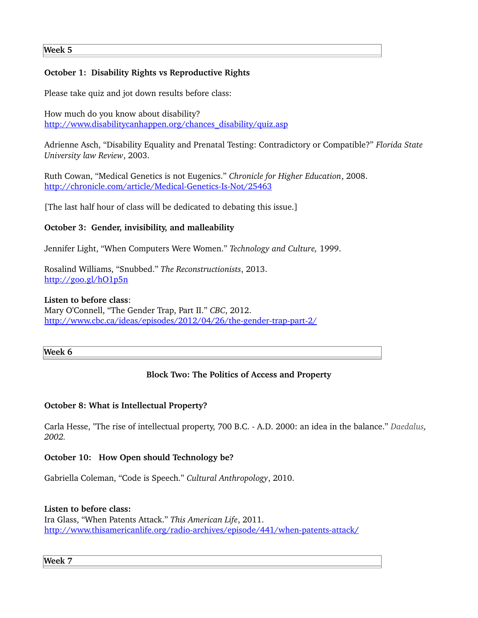# **October 1: Disability Rights vs Reproductive Rights**

Please take quiz and jot down results before class:

How much do you know about disability? [http://www.disabilitycanhappen.org/chances\\_disability/quiz.asp](http://www.disabilitycanhappen.org/chances_disability/quiz.asp)

Adrienne Asch, "Disability Equality and Prenatal Testing: Contradictory or Compatible?" *Florida State University law Review*, 2003.

Ruth Cowan, "Medical Genetics is not Eugenics." *Chronicle for Higher Education*, 2008. http://chronicle.com/article/Medical-Genetics-Is-Not/25463

[The last half hour of class will be dedicated to debating this issue.]

# **October 3: Gender, invisibility, and malleability**

Jennifer Light, "When Computers Were Women." *Technology and Culture,* 1999.

Rosalind Williams, "Snubbed." *The Reconstructionists*, 2013. <http://goo.gl/hO1p5n>

#### **Listen to before class**:

Mary O'Connell, "The Gender Trap, Part II." *CBC*, 2012. http://www.cbc.ca/ideas/episodes/2012/04/26/the-gender-trap-part-2/

#### **Week 6**

# **Block Two: The Politics of Access and Property**

## **October 8: What is Intellectual Property?**

Carla Hesse, "The rise of intellectual property, 700 B.C. A.D. 2000: an idea in the balance." *Daedalus, 2002.* 

## **October 10: How Open should Technology be?**

Gabriella Coleman, "Code is Speech." *Cultural Anthropology*, 2010.

## **Listen to before class:**

Ira Glass, "When Patents Attack." *This American Life*, 2011. http://www.thisamericanlife.org/radio-archives/episode/441/when-patents-attack/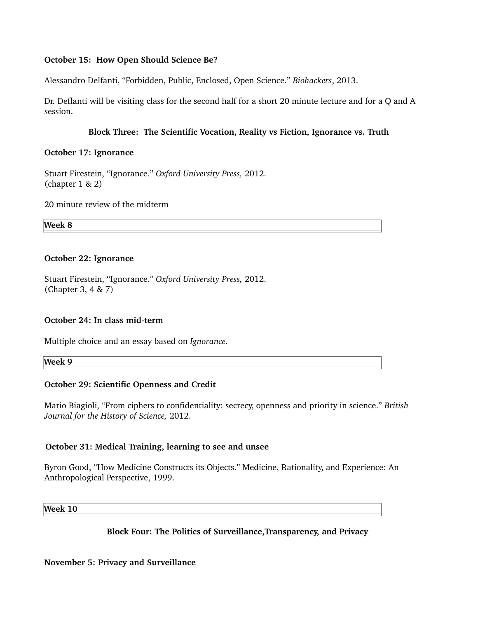## **October 15: How Open Should Science Be?**

Alessandro Delfanti, "Forbidden, Public, Enclosed, Open Science." *Biohackers*, 2013.

Dr. Deflanti will be visiting class for the second half for a short 20 minute lecture and for a Q and A session.

#### **Block Three: The Scientific Vocation, Reality vs Fiction, Ignorance vs. Truth**

#### **October 17: Ignorance**

Stuart Firestein, "Ignorance." *Oxford University Press,* 2012. (chapter 1 & 2)

20 minute review of the midterm

**Week 8**

#### **October 22: Ignorance**

Stuart Firestein, "Ignorance." *Oxford University Press,* 2012. (Chapter 3, 4 & 7)

## **October 24: In class mid-term**

Multiple choice and an essay based on *Ignorance.*

**Week 9**

## **October 29: Scientific Openness and Credit**

Mario Biagioli, "From ciphers to confidentiality: secrecy, openness and priority in science." *British Journal for the History of Science,* 2012.

## **October 31: Medical Training, learning to see and unsee**

Byron Good, "How Medicine Constructs its Objects." Medicine, Rationality, and Experience: An Anthropological Perspective, 1999.

**Week 10**

## **Block Four: The Politics of Surveillance,Transparency, and Privacy**

## **November 5: Privacy and Surveillance**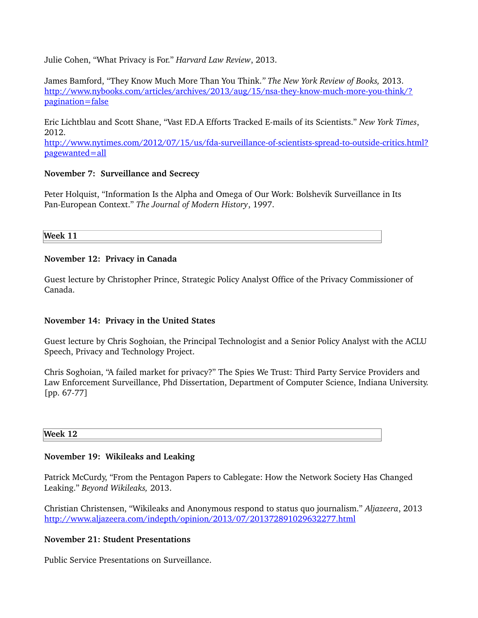Julie Cohen, "What Privacy is For." *Harvard Law Review*, 2013.

James Bamford, "They Know Much More Than You Think.*" The New York Review of Books,* 2013. http://www.nybooks.com/articles/archives/2013/aug/15/nsa-they-know-much-more-you-think/? [pagination=false](http://www.nybooks.com/articles/archives/2013/aug/15/nsa-they-know-much-more-you-think/?pagination=false)

Eric Lichtblau and Scott Shane, "Vast F.D.A Efforts Tracked Emails of its Scientists." *New York Times*, 2012.

http://www.nytimes.com/2012/07/15/us/fda-surveillance-of-scientists-spread-to-outside-critics.html? [pagewanted=all](http://www.nytimes.com/2012/07/15/us/fda-surveillance-of-scientists-spread-to-outside-critics.html?pagewanted=all)

#### **November 7: Surveillance and Secrecy**

Peter Holquist, "Information Is the Alpha and Omega of Our Work: Bolshevik Surveillance in Its Pan-European Context." The Journal of Modern History, 1997.

**Week 11**

#### **November 12: Privacy in Canada**

Guest lecture by Christopher Prince, Strategic Policy Analyst Office of the Privacy Commissioner of Canada.

## **November 14: Privacy in the United States**

Guest lecture by Chris Soghoian, the Principal Technologist and a Senior Policy Analyst with the ACLU Speech, Privacy and Technology Project.

Chris Soghoian, "A failed market for privacy?" The Spies We Trust: Third Party Service Providers and Law Enforcement Surveillance, Phd Dissertation, Department of Computer Science, Indiana University.  $[pp. 67-77]$ 

#### **Week 12**

## **November 19: Wikileaks and Leaking**

Patrick McCurdy, "From the Pentagon Papers to Cablegate: How the Network Society Has Changed Leaking." *Beyond Wikileaks,* 2013.

Christian Christensen, "Wikileaks and Anonymous respond to status quo journalism." *Aljazeera*, 2013 <http://www.aljazeera.com/indepth/opinion/2013/07/201372891029632277.html>

#### **November 21: Student Presentations**

Public Service Presentations on Surveillance.